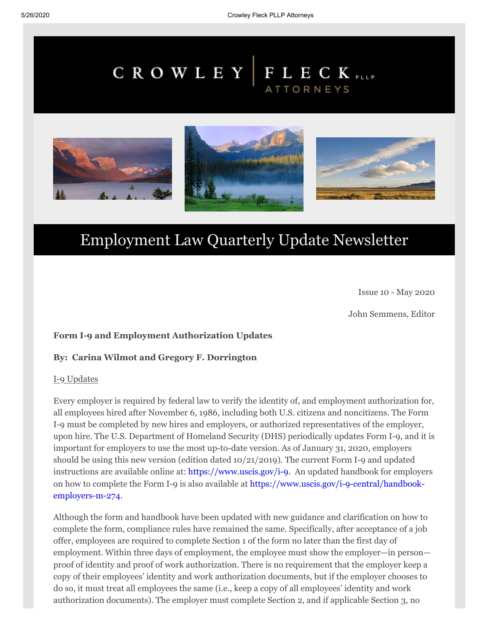# CROWLEY FLECK PLLP **ATTORNEYS**



# Employment Law Quarterly Update Newsletter

Issue 10 - May 2020

John Semmens, Editor

## **Form I-9 and Employment Authorization Updates**

### **By: Carina Wilmot and Gregory F. Dorrington**

### I-9 Updates

Every employer is required by federal law to verify the identity of, and employment authorization for, all employees hired after November 6, 1986, including both U.S. citizens and noncitizens. The Form I-9 must be completed by new hires and employers, or authorized representatives of the employer, upon hire. The U.S. Department of Homeland Security (DHS) periodically updates Form I-9, and it is important for employers to use the most up-to-date version. As of January 31, 2020, employers should be using this new version (edition dated 10/21/2019). The current Form I-9 and updated instructions are available online at: [https://www.uscis.gov/i-9](https://send.boingomail.com/t/r-l-jkmddll-l-t/). An updated handbook for employers [on how to complete the Form I-9 is also available at https://www.uscis.gov/i-9-central/handbook](https://send.boingomail.com/t/r-l-jkmddll-l-i/)employers-m-274.

Although the form and handbook have been updated with new guidance and clarification on how to complete the form, compliance rules have remained the same. Specifically, after acceptance of a job offer, employees are required to complete Section 1 of the form no later than the first day of employment. Within three days of employment, the employee must show the employer—in person proof of identity and proof of work authorization. There is no requirement that the employer keep a copy of their employees' identity and work authorization documents, but if the employer chooses to do so, it must treat all employees the same (i.e., keep a copy of all employees' identity and work authorization documents). The employer must complete Section 2, and if applicable Section 3, no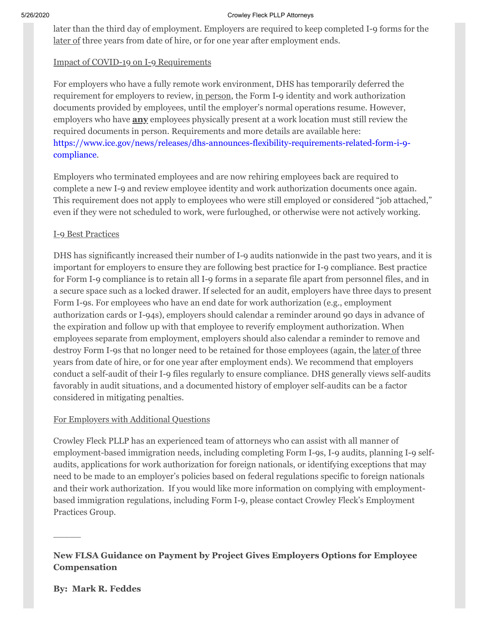later than the third day of employment. Employers are required to keep completed I-9 forms for the later of three years from date of hire, or for one year after employment ends.

# Impact of COVID-19 on I-9 Requirements

For employers who have a fully remote work environment, DHS has temporarily deferred the requirement for employers to review, in person, the Form I-9 identity and work authorization documents provided by employees, until the employer's normal operations resume. However, employers who have **any** employees physically present at a work location must still review the required documents in person. Requirements and more details are available here: [https://www.ice.gov/news/releases/dhs-announces-flexibility-requirements-related-form-i-9](https://send.boingomail.com/t/r-l-jkmddll-l-u/) compliance.

Employers who terminated employees and are now rehiring employees back are required to complete a new I-9 and review employee identity and work authorization documents once again. This requirement does not apply to employees who were still employed or considered "job attached," even if they were not scheduled to work, were furloughed, or otherwise were not actively working.

# I-9 Best Practices

DHS has significantly increased their number of I-9 audits nationwide in the past two years, and it is important for employers to ensure they are following best practice for I-9 compliance. Best practice for Form I-9 compliance is to retain all I-9 forms in a separate file apart from personnel files, and in a secure space such as a locked drawer. If selected for an audit, employers have three days to present Form I-9s. For employees who have an end date for work authorization (e.g., employment authorization cards or I-94s), employers should calendar a reminder around 90 days in advance of the expiration and follow up with that employee to reverify employment authorization. When employees separate from employment, employers should also calendar a reminder to remove and destroy Form I-9s that no longer need to be retained for those employees (again, the later of three years from date of hire, or for one year after employment ends). We recommend that employers conduct a self-audit of their I-9 files regularly to ensure compliance. DHS generally views self-audits favorably in audit situations, and a documented history of employer self-audits can be a factor considered in mitigating penalties.

# For Employers with Additional Questions

Crowley Fleck PLLP has an experienced team of attorneys who can assist with all manner of employment-based immigration needs, including completing Form I-9s, I-9 audits, planning I-9 selfaudits, applications for work authorization for foreign nationals, or identifying exceptions that may need to be made to an employer's policies based on federal regulations specific to foreign nationals and their work authorization. If you would like more information on complying with employmentbased immigration regulations, including Form I-9, please contact Crowley Fleck's Employment Practices Group.

# **New FLSA Guidance on Payment by Project Gives Employers Options for Employee Compensation**

# **By: Mark R. Feddes**

 $\overline{\phantom{a}}$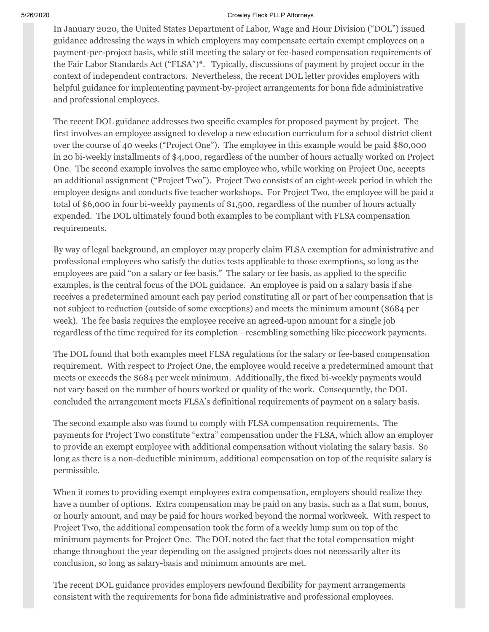In January 2020, the United States Department of Labor, Wage and Hour Division ("DOL") issued guidance addressing the ways in which employers may compensate certain exempt employees on a payment-per-project basis, while still meeting the salary or fee-based compensation requirements of the Fair Labor Standards Act ("FLSA")\*. Typically, discussions of payment by project occur in the context of independent contractors. Nevertheless, the recent DOL letter provides employers with helpful guidance for implementing payment-by-project arrangements for bona fide administrative and professional employees.

The recent DOL guidance addresses two specific examples for proposed payment by project. The first involves an employee assigned to develop a new education curriculum for a school district client over the course of 40 weeks ("Project One"). The employee in this example would be paid \$80,000 in 20 bi-weekly installments of \$4,000, regardless of the number of hours actually worked on Project One. The second example involves the same employee who, while working on Project One, accepts an additional assignment ("Project Two"). Project Two consists of an eight-week period in which the employee designs and conducts five teacher workshops. For Project Two, the employee will be paid a total of \$6,000 in four bi-weekly payments of \$1,500, regardless of the number of hours actually expended. The DOL ultimately found both examples to be compliant with FLSA compensation requirements.

By way of legal background, an employer may properly claim FLSA exemption for administrative and professional employees who satisfy the duties tests applicable to those exemptions, so long as the employees are paid "on a salary or fee basis." The salary or fee basis, as applied to the specific examples, is the central focus of the DOL guidance. An employee is paid on a salary basis if she receives a predetermined amount each pay period constituting all or part of her compensation that is not subject to reduction (outside of some exceptions) and meets the minimum amount (\$684 per week). The fee basis requires the employee receive an agreed-upon amount for a single job regardless of the time required for its completion—resembling something like piecework payments.

The DOL found that both examples meet FLSA regulations for the salary or fee-based compensation requirement. With respect to Project One, the employee would receive a predetermined amount that meets or exceeds the \$684 per week minimum. Additionally, the fixed bi-weekly payments would not vary based on the number of hours worked or quality of the work. Consequently, the DOL concluded the arrangement meets FLSA's definitional requirements of payment on a salary basis.

The second example also was found to comply with FLSA compensation requirements. The payments for Project Two constitute "extra" compensation under the FLSA, which allow an employer to provide an exempt employee with additional compensation without violating the salary basis. So long as there is a non-deductible minimum, additional compensation on top of the requisite salary is permissible.

When it comes to providing exempt employees extra compensation, employers should realize they have a number of options. Extra compensation may be paid on any basis, such as a flat sum, bonus, or hourly amount, and may be paid for hours worked beyond the normal workweek. With respect to Project Two, the additional compensation took the form of a weekly lump sum on top of the minimum payments for Project One. The DOL noted the fact that the total compensation might change throughout the year depending on the assigned projects does not necessarily alter its conclusion, so long as salary-basis and minimum amounts are met.

The recent DOL guidance provides employers newfound flexibility for payment arrangements consistent with the requirements for bona fide administrative and professional employees.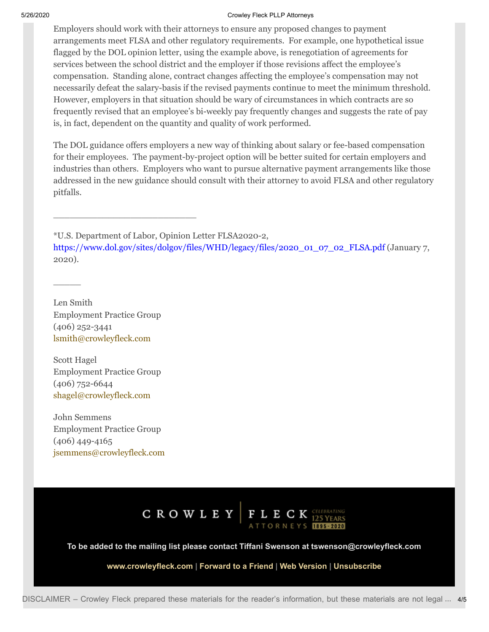Employers should work with their attorneys to ensure any proposed changes to payment arrangements meet FLSA and other regulatory requirements. For example, one hypothetical issue flagged by the DOL opinion letter, using the example above, is renegotiation of agreements for services between the school district and the employer if those revisions affect the employee's compensation. Standing alone, contract changes affecting the employee's compensation may not necessarily defeat the salary-basis if the revised payments continue to meet the minimum threshold. However, employers in that situation should be wary of circumstances in which contracts are so frequently revised that an employee's bi-weekly pay frequently changes and suggests the rate of pay is, in fact, dependent on the quantity and quality of work performed.

The DOL guidance offers employers a new way of thinking about salary or fee-based compensation for their employees. The payment-by-project option will be better suited for certain employers and industries than others. Employers who want to pursue alternative payment arrangements like those addressed in the new guidance should consult with their attorney to avoid FLSA and other regulatory pitfalls.

\*U.S. Department of Labor, Opinion Letter FLSA2020-2,

[https://www.dol.gov/sites/dolgov/files/WHD/legacy/files/2020\\_01\\_07\\_02\\_FLSA.pdf](https://send.boingomail.com/t/r-l-jkmddll-l-o/) (January 7, 2020).

Len Smith Employment Practice Group (406) 252-3441 [lsmith@crowleyfleck.com](mailto:lsmith@crowleyfleck.com)

 $\overline{\phantom{a}}$ 

\_\_\_\_\_\_\_\_\_\_\_\_\_\_\_\_\_\_\_\_\_\_\_\_\_\_

Scott Hagel Employment Practice Group (406) 752-6644 [shagel@crowleyfleck.com](mailto:shagel@crowleyfleck.com)

John Semmens Employment Practice Group (406) 449-4165 [jsemmens@crowleyfleck.com](mailto:jsemmens@crowleyfleck.com)



**To be added to the mailing list please contact Tiffani Swenson at tswenson@crowleyfleck.com**

**[www.crowleyfleck.com](https://send.boingomail.com/t/r-l-jkmddll-l-b/) | [Forward to a Friend](https://crowleyfleck.forwardtomyfriend.com/r-l-2AD73FFF-jkmddll-l-r) | [Web Version](https://send.boingomail.com/t/r-e-jkmddll-l-y/) | [Unsubscribe](https://send.boingomail.com/t/r-u-jkmddll-l-j/)**